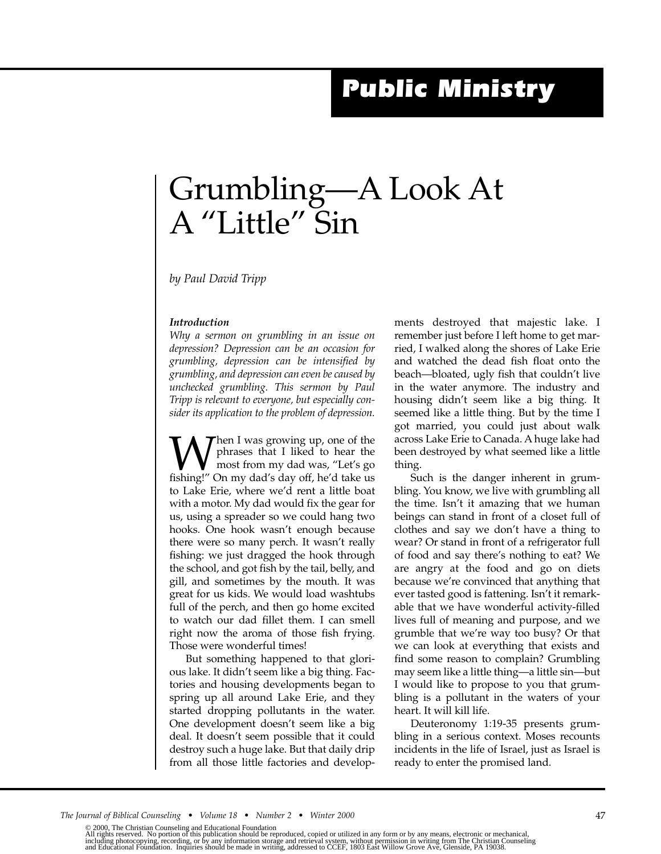## *Public Ministry*

## Grumbling—A Look At A "Little" Sin

*by Paul David Tripp*

## *Introduction*

*Why a sermon on grumbling in an issue on depression? Depression can be an occasion for grumbling, depression can be intensified by grumbling, and depression can even be caused by unchecked grumbling. This sermon by Paul Tripp is relevant to everyone, but especially consider its application to the problem of depression.*

**W** Then I was growing up, one of the phrases that I liked to hear the most from my dad was, "Let's go fishing!" On my dad's day off, he'd take us phrases that I liked to hear the most from my dad was, "Let's go to Lake Erie, where we'd rent a little boat with a motor. My dad would fix the gear for us, using a spreader so we could hang two hooks. One hook wasn't enough because there were so many perch. It wasn't really fishing: we just dragged the hook through the school, and got fish by the tail, belly, and gill, and sometimes by the mouth. It was great for us kids. We would load washtubs full of the perch, and then go home excited to watch our dad fillet them. I can smell right now the aroma of those fish frying. Those were wonderful times!

But something happened to that glorious lake. It didn't seem like a big thing. Factories and housing developments began to spring up all around Lake Erie, and they started dropping pollutants in the water. One development doesn't seem like a big deal. It doesn't seem possible that it could destroy such a huge lake. But that daily drip from all those little factories and developments destroyed that majestic lake. I remember just before I left home to get married, I walked along the shores of Lake Erie and watched the dead fish float onto the beach—bloated, ugly fish that couldn't live in the water anymore. The industry and housing didn't seem like a big thing. It seemed like a little thing. But by the time I got married, you could just about walk across Lake Erie to Canada. A huge lake had been destroyed by what seemed like a little thing.

Such is the danger inherent in grumbling. You know, we live with grumbling all the time. Isn't it amazing that we human beings can stand in front of a closet full of clothes and say we don't have a thing to wear? Or stand in front of a refrigerator full of food and say there's nothing to eat? We are angry at the food and go on diets because we're convinced that anything that ever tasted good is fattening. Isn't it remarkable that we have wonderful activity-filled lives full of meaning and purpose, and we grumble that we're way too busy? Or that we can look at everything that exists and find some reason to complain? Grumbling may seem like a little thing—a little sin—but I would like to propose to you that grumbling is a pollutant in the waters of your heart. It will kill life.

Deuteronomy 1:19-35 presents grumbling in a serious context. Moses recounts incidents in the life of Israel, just as Israel is ready to enter the promised land.

<sup>© 2000,</sup> The Christian Counseling and Educational Foundation<br>All rights reserved. No portion of this publication should be reproduced, copied or utilized in any form or by any means, electronic or mechanical,<br>including phot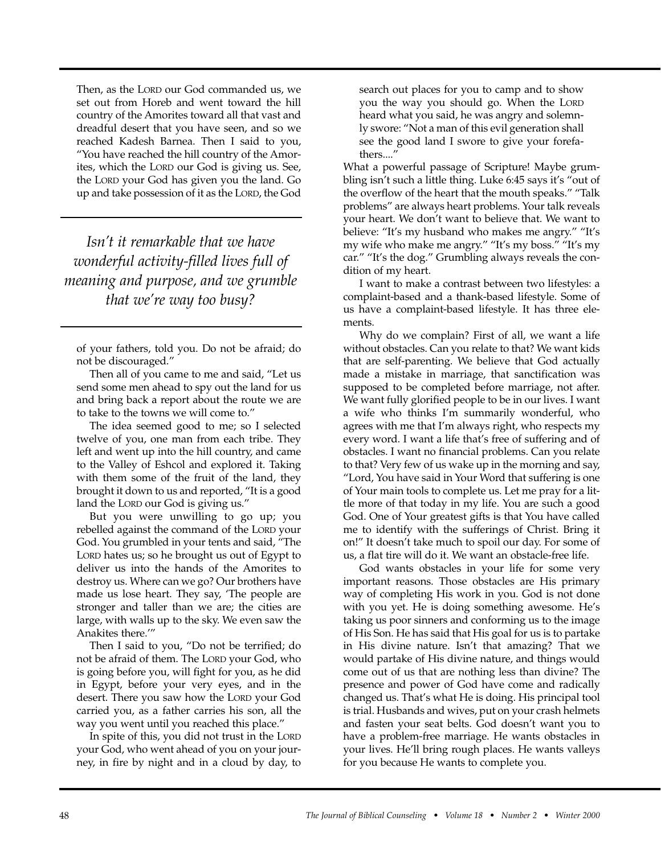Then, as the LORD our God commanded us, we set out from Horeb and went toward the hill country of the Amorites toward all that vast and dreadful desert that you have seen, and so we reached Kadesh Barnea. Then I said to you, "You have reached the hill country of the Amorites, which the LORD our God is giving us. See, the LORD your God has given you the land. Go up and take possession of it as the LORD, the God

*Isn't it remarkable that we have wonderful activity-filled lives full of meaning and purpose, and we grumble that we're way too busy?*

Then all of you came to me and said, "Let us send some men ahead to spy out the land for us and bring back a report about the route we are to take to the towns we will come to."

The idea seemed good to me; so I selected twelve of you, one man from each tribe. They left and went up into the hill country, and came to the Valley of Eshcol and explored it. Taking with them some of the fruit of the land, they brought it down to us and reported, "It is a good land the LORD our God is giving us."

But you were unwilling to go up; you rebelled against the command of the LORD your God. You grumbled in your tents and said, "The LORD hates us; so he brought us out of Egypt to deliver us into the hands of the Amorites to destroy us. Where can we go? Our brothers have made us lose heart. They say, 'The people are stronger and taller than we are; the cities are large, with walls up to the sky. We even saw the Anakites there.'"

Then I said to you, "Do not be terrified; do not be afraid of them. The LORD your God, who is going before you, will fight for you, as he did in Egypt, before your very eyes, and in the desert. There you saw how the LORD your God carried you, as a father carries his son, all the way you went until you reached this place."

In spite of this, you did not trust in the LORD your God, who went ahead of you on your journey, in fire by night and in a cloud by day, to

search out places for you to camp and to show you the way you should go. When the LORD heard what you said, he was angry and solemnly swore: "Not a man of this evil generation shall see the good land I swore to give your forefathers...."

What a powerful passage of Scripture! Maybe grumbling isn't such a little thing. Luke 6:45 says it's "out of the overflow of the heart that the mouth speaks." "Talk problems" are always heart problems. Your talk reveals your heart. We don't want to believe that. We want to believe: "It's my husband who makes me angry." "It's my wife who make me angry." "It's my boss." "It's my car." "It's the dog." Grumbling always reveals the condition of my heart.

I want to make a contrast between two lifestyles: a complaint-based and a thank-based lifestyle. Some of us have a complaint-based lifestyle. It has three elements.

Why do we complain? First of all, we want a life without obstacles. Can you relate to that? We want kids that are self-parenting. We believe that God actually made a mistake in marriage, that sanctification was supposed to be completed before marriage, not after. We want fully glorified people to be in our lives. I want a wife who thinks I'm summarily wonderful, who agrees with me that I'm always right, who respects my every word. I want a life that's free of suffering and of obstacles. I want no financial problems. Can you relate to that? Very few of us wake up in the morning and say, "Lord, You have said in Your Word that suffering is one of Your main tools to complete us. Let me pray for a little more of that today in my life. You are such a good God. One of Your greatest gifts is that You have called me to identify with the sufferings of Christ. Bring it on!" It doesn't take much to spoil our day. For some of us, a flat tire will do it. We want an obstacle-free life.

God wants obstacles in your life for some very important reasons. Those obstacles are His primary way of completing His work in you. God is not done with you yet. He is doing something awesome. He's taking us poor sinners and conforming us to the image of His Son. He has said that His goal for us is to partake in His divine nature. Isn't that amazing? That we would partake of His divine nature, and things would come out of us that are nothing less than divine? The presence and power of God have come and radically changed us. That's what He is doing. His principal tool is trial. Husbands and wives, put on your crash helmets and fasten your seat belts. God doesn't want you to have a problem-free marriage. He wants obstacles in your lives. He'll bring rough places. He wants valleys for you because He wants to complete you.

of your fathers, told you. Do not be afraid; do not be discouraged."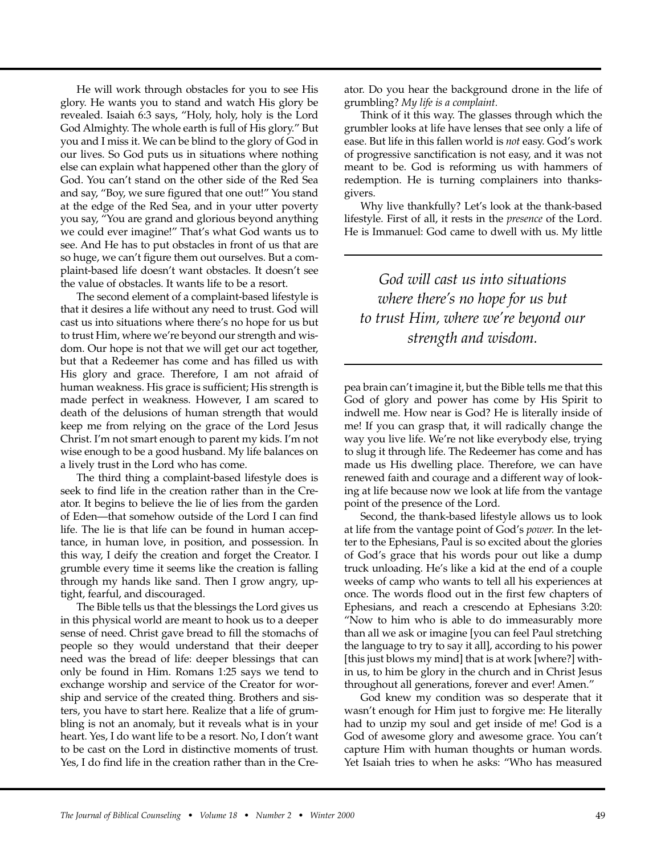He will work through obstacles for you to see His glory. He wants you to stand and watch His glory be revealed. Isaiah 6:3 says, "Holy, holy, holy is the Lord God Almighty. The whole earth is full of His glory." But you and I miss it. We can be blind to the glory of God in our lives. So God puts us in situations where nothing else can explain what happened other than the glory of God. You can't stand on the other side of the Red Sea and say, "Boy, we sure figured that one out!" You stand at the edge of the Red Sea, and in your utter poverty you say, "You are grand and glorious beyond anything we could ever imagine!" That's what God wants us to see. And He has to put obstacles in front of us that are so huge, we can't figure them out ourselves. But a complaint-based life doesn't want obstacles. It doesn't see the value of obstacles. It wants life to be a resort.

The second element of a complaint-based lifestyle is that it desires a life without any need to trust. God will cast us into situations where there's no hope for us but to trust Him, where we're beyond our strength and wisdom. Our hope is not that we will get our act together, but that a Redeemer has come and has filled us with His glory and grace. Therefore, I am not afraid of human weakness. His grace is sufficient; His strength is made perfect in weakness. However, I am scared to death of the delusions of human strength that would keep me from relying on the grace of the Lord Jesus Christ. I'm not smart enough to parent my kids. I'm not wise enough to be a good husband. My life balances on a lively trust in the Lord who has come.

The third thing a complaint-based lifestyle does is seek to find life in the creation rather than in the Creator. It begins to believe the lie of lies from the garden of Eden—that somehow outside of the Lord I can find life. The lie is that life can be found in human acceptance, in human love, in position, and possession. In this way, I deify the creation and forget the Creator. I grumble every time it seems like the creation is falling through my hands like sand. Then I grow angry, uptight, fearful, and discouraged.

The Bible tells us that the blessings the Lord gives us in this physical world are meant to hook us to a deeper sense of need. Christ gave bread to fill the stomachs of people so they would understand that their deeper need was the bread of life: deeper blessings that can only be found in Him. Romans 1:25 says we tend to exchange worship and service of the Creator for worship and service of the created thing. Brothers and sisters, you have to start here. Realize that a life of grumbling is not an anomaly, but it reveals what is in your heart. Yes, I do want life to be a resort. No, I don't want to be cast on the Lord in distinctive moments of trust. Yes, I do find life in the creation rather than in the Creator. Do you hear the background drone in the life of grumbling? *My life is a complaint.*

Think of it this way. The glasses through which the grumbler looks at life have lenses that see only a life of ease. But life in this fallen world is *not* easy. God's work of progressive sanctification is not easy, and it was not meant to be. God is reforming us with hammers of redemption. He is turning complainers into thanksgivers.

Why live thankfully? Let's look at the thank-based lifestyle. First of all, it rests in the *presence* of the Lord. He is Immanuel: God came to dwell with us. My little

*God will cast us into situations where there's no hope for us but to trust Him, where we're beyond our strength and wisdom.*

pea brain can't imagine it, but the Bible tells me that this God of glory and power has come by His Spirit to indwell me. How near is God? He is literally inside of me! If you can grasp that, it will radically change the way you live life. We're not like everybody else, trying to slug it through life. The Redeemer has come and has made us His dwelling place. Therefore, we can have renewed faith and courage and a different way of looking at life because now we look at life from the vantage point of the presence of the Lord.

Second, the thank-based lifestyle allows us to look at life from the vantage point of God's *power.* In the letter to the Ephesians, Paul is so excited about the glories of God's grace that his words pour out like a dump truck unloading. He's like a kid at the end of a couple weeks of camp who wants to tell all his experiences at once. The words flood out in the first few chapters of Ephesians, and reach a crescendo at Ephesians 3:20: "Now to him who is able to do immeasurably more than all we ask or imagine [you can feel Paul stretching the language to try to say it all], according to his power [this just blows my mind] that is at work [where?] within us, to him be glory in the church and in Christ Jesus throughout all generations, forever and ever! Amen."

God knew my condition was so desperate that it wasn't enough for Him just to forgive me: He literally had to unzip my soul and get inside of me! God is a God of awesome glory and awesome grace. You can't capture Him with human thoughts or human words. Yet Isaiah tries to when he asks: "Who has measured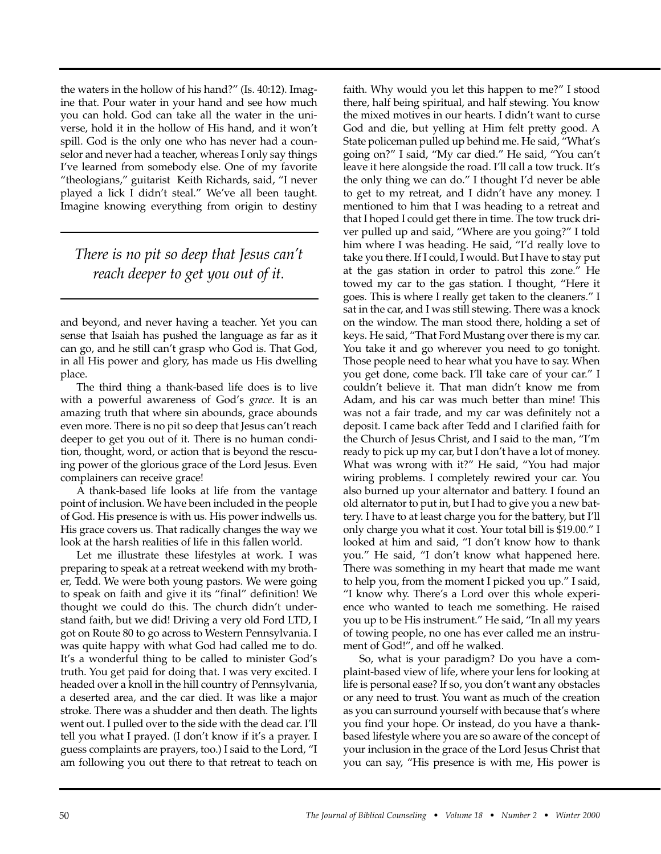the waters in the hollow of his hand?" (Is. 40:12). Imagine that. Pour water in your hand and see how much you can hold. God can take all the water in the universe, hold it in the hollow of His hand, and it won't spill. God is the only one who has never had a counselor and never had a teacher, whereas I only say things I've learned from somebody else. One of my favorite "theologians," guitarist Keith Richards, said, "I never played a lick I didn't steal." We've all been taught. Imagine knowing everything from origin to destiny

*There is no pit so deep that Jesus can't reach deeper to get you out of it.* 

and beyond, and never having a teacher. Yet you can sense that Isaiah has pushed the language as far as it can go, and he still can't grasp who God is. That God, in all His power and glory, has made us His dwelling place.

The third thing a thank-based life does is to live with a powerful awareness of God's *grace*. It is an amazing truth that where sin abounds, grace abounds even more. There is no pit so deep that Jesus can't reach deeper to get you out of it. There is no human condition, thought, word, or action that is beyond the rescuing power of the glorious grace of the Lord Jesus. Even complainers can receive grace!

A thank-based life looks at life from the vantage point of inclusion. We have been included in the people of God. His presence is with us. His power indwells us. His grace covers us. That radically changes the way we look at the harsh realities of life in this fallen world.

Let me illustrate these lifestyles at work. I was preparing to speak at a retreat weekend with my brother, Tedd. We were both young pastors. We were going to speak on faith and give it its "final" definition! We thought we could do this. The church didn't understand faith, but we did! Driving a very old Ford LTD, I got on Route 80 to go across to Western Pennsylvania. I was quite happy with what God had called me to do. It's a wonderful thing to be called to minister God's truth. You get paid for doing that. I was very excited. I headed over a knoll in the hill country of Pennsylvania, a deserted area, and the car died. It was like a major stroke. There was a shudder and then death. The lights went out. I pulled over to the side with the dead car. I'll tell you what I prayed. (I don't know if it's a prayer. I guess complaints are prayers, too.) I said to the Lord, "I am following you out there to that retreat to teach on

faith. Why would you let this happen to me?" I stood there, half being spiritual, and half stewing. You know the mixed motives in our hearts. I didn't want to curse God and die, but yelling at Him felt pretty good. A State policeman pulled up behind me. He said, "What's going on?" I said, "My car died." He said, "You can't leave it here alongside the road. I'll call a tow truck. It's the only thing we can do." I thought I'd never be able to get to my retreat, and I didn't have any money. I mentioned to him that I was heading to a retreat and that I hoped I could get there in time. The tow truck driver pulled up and said, "Where are you going?" I told him where I was heading. He said, "I'd really love to take you there. If I could, I would. But I have to stay put at the gas station in order to patrol this zone." He towed my car to the gas station. I thought, "Here it goes. This is where I really get taken to the cleaners." I sat in the car, and I was still stewing. There was a knock on the window. The man stood there, holding a set of keys. He said, "That Ford Mustang over there is my car. You take it and go wherever you need to go tonight. Those people need to hear what you have to say. When you get done, come back. I'll take care of your car." I couldn't believe it. That man didn't know me from Adam, and his car was much better than mine! This was not a fair trade, and my car was definitely not a deposit. I came back after Tedd and I clarified faith for the Church of Jesus Christ, and I said to the man, "I'm ready to pick up my car, but I don't have a lot of money. What was wrong with it?" He said, "You had major wiring problems. I completely rewired your car. You also burned up your alternator and battery. I found an old alternator to put in, but I had to give you a new battery. I have to at least charge you for the battery, but I'll only charge you what it cost. Your total bill is \$19.00." I looked at him and said, "I don't know how to thank you." He said, "I don't know what happened here. There was something in my heart that made me want to help you, from the moment I picked you up." I said, "I know why. There's a Lord over this whole experience who wanted to teach me something. He raised you up to be His instrument." He said, "In all my years of towing people, no one has ever called me an instrument of God!", and off he walked.

So, what is your paradigm? Do you have a complaint-based view of life, where your lens for looking at life is personal ease? If so, you don't want any obstacles or any need to trust. You want as much of the creation as you can surround yourself with because that's where you find your hope. Or instead, do you have a thankbased lifestyle where you are so aware of the concept of your inclusion in the grace of the Lord Jesus Christ that you can say, "His presence is with me, His power is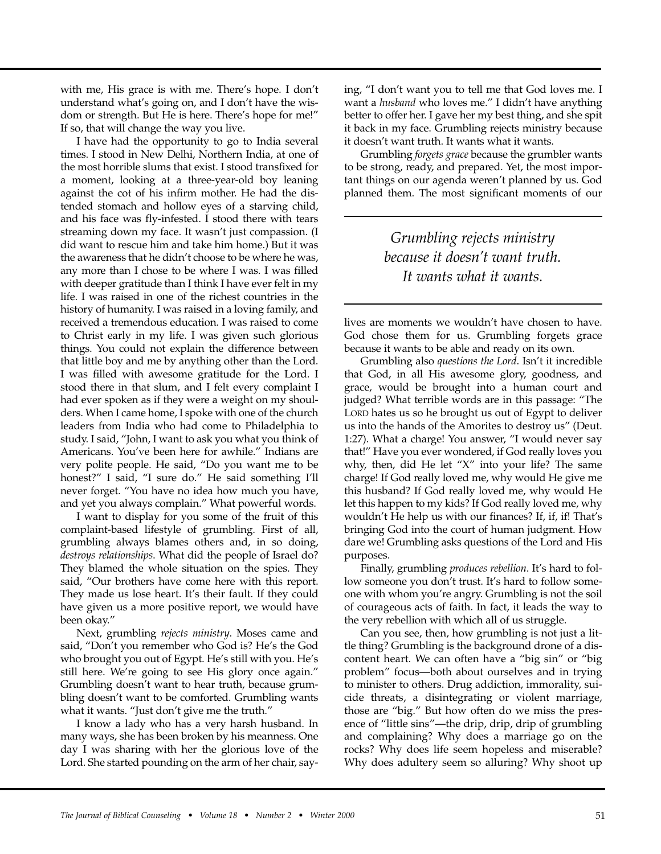with me, His grace is with me. There's hope. I don't understand what's going on, and I don't have the wisdom or strength. But He is here. There's hope for me!" If so, that will change the way you live.

I have had the opportunity to go to India several times. I stood in New Delhi, Northern India, at one of the most horrible slums that exist. I stood transfixed for a moment, looking at a three-year-old boy leaning against the cot of his infirm mother. He had the distended stomach and hollow eyes of a starving child, and his face was fly-infested. I stood there with tears streaming down my face. It wasn't just compassion. (I did want to rescue him and take him home.) But it was the awareness that he didn't choose to be where he was, any more than I chose to be where I was. I was filled with deeper gratitude than I think I have ever felt in my life. I was raised in one of the richest countries in the history of humanity. I was raised in a loving family, and received a tremendous education. I was raised to come to Christ early in my life. I was given such glorious things. You could not explain the difference between that little boy and me by anything other than the Lord. I was filled with awesome gratitude for the Lord. I stood there in that slum, and I felt every complaint I had ever spoken as if they were a weight on my shoulders. When I came home, I spoke with one of the church leaders from India who had come to Philadelphia to study. I said, "John, I want to ask you what you think of Americans. You've been here for awhile." Indians are very polite people. He said, "Do you want me to be honest?" I said, "I sure do." He said something I'll never forget. "You have no idea how much you have, and yet you always complain." What powerful words.

I want to display for you some of the fruit of this complaint-based lifestyle of grumbling. First of all, grumbling always blames others and, in so doing, *destroys relationships*. What did the people of Israel do? They blamed the whole situation on the spies. They said, "Our brothers have come here with this report. They made us lose heart. It's their fault. If they could have given us a more positive report, we would have been okay."

Next, grumbling *rejects ministry*. Moses came and said, "Don't you remember who God is? He's the God who brought you out of Egypt. He's still with you. He's still here. We're going to see His glory once again." Grumbling doesn't want to hear truth, because grumbling doesn't want to be comforted. Grumbling wants what it wants. "Just don't give me the truth."

I know a lady who has a very harsh husband. In many ways, she has been broken by his meanness. One day I was sharing with her the glorious love of the Lord. She started pounding on the arm of her chair, saying, "I don't want you to tell me that God loves me. I want a *husband* who loves me." I didn't have anything better to offer her. I gave her my best thing, and she spit it back in my face. Grumbling rejects ministry because it doesn't want truth. It wants what it wants.

Grumbling *forgets grace* because the grumbler wants to be strong, ready, and prepared. Yet, the most important things on our agenda weren't planned by us. God planned them. The most significant moments of our

> *Grumbling rejects ministry because it doesn't want truth. It wants what it wants.*

lives are moments we wouldn't have chosen to have. God chose them for us. Grumbling forgets grace because it wants to be able and ready on its own.

Grumbling also *questions the Lord*. Isn't it incredible that God, in all His awesome glory, goodness, and grace, would be brought into a human court and judged? What terrible words are in this passage: "The LORD hates us so he brought us out of Egypt to deliver us into the hands of the Amorites to destroy us" (Deut. 1:27). What a charge! You answer, "I would never say that!" Have you ever wondered, if God really loves you why, then, did He let "X" into your life? The same charge! If God really loved me, why would He give me this husband? If God really loved me, why would He let this happen to my kids? If God really loved me, why wouldn't He help us with our finances? If, if, if! That's bringing God into the court of human judgment. How dare we! Grumbling asks questions of the Lord and His purposes.

Finally, grumbling *produces rebellion*. It's hard to follow someone you don't trust. It's hard to follow someone with whom you're angry. Grumbling is not the soil of courageous acts of faith. In fact, it leads the way to the very rebellion with which all of us struggle.

Can you see, then, how grumbling is not just a little thing? Grumbling is the background drone of a discontent heart. We can often have a "big sin" or "big problem" focus—both about ourselves and in trying to minister to others. Drug addiction, immorality, suicide threats, a disintegrating or violent marriage, those are "big." But how often do we miss the presence of "little sins"—the drip, drip, drip of grumbling and complaining? Why does a marriage go on the rocks? Why does life seem hopeless and miserable? Why does adultery seem so alluring? Why shoot up